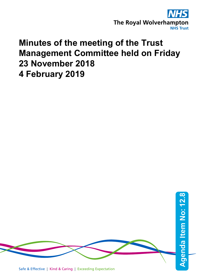

# **Minutes of the meeting of the Trust Management Committee held on Friday 23 November 2018 4 February 2019**

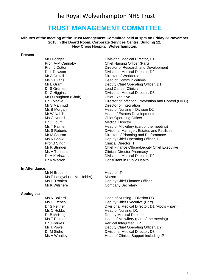# **TRUST MANAGEMENT COMMITTEE**

#### **Minutes of the meeting of the Trust Management Committee held at 1pm on Friday 23 November 2018 in the Board Room, Corporate Services Centre, Building 12, New Cross Hospital, Wolverhampton.**

#### **Present:**

Mr A Duffell **Director of Workforce**<br>Ms S Evans **Director Communication** Dr S Grumett Lead Cancer Clinician Mr D Loughton (Chair) Chief Executive Mr S Mahmud Director of Integration Prof B Singh Clinical Director IT<br>
Mr K Stringer Chief Finance Offic

#### **In Attendance:**

Mr N Bruce Head of IT Ms E Lengyel (for Ms Hobbs) Matron<br>Ms H Troalen Ms Deputy Ms H Troalen **Deputy Chief Finance Officer**<br>Mr K Wilshere **Deputy Company Secretary** 

#### **Apologies:**

Mr I Badger **Divisional Medical Director**, D1 Prof. A-M Cannaby Chief Nursing Officer (Part)<br>Prof. J Cotton Chief Chief Chief Chief Chief Chief Prof. J Cotton Director of Research and Development Dr L Dowson **Divisional Medical Director, D2** Ms S.Evans **Head of Communications**<br>
Mr I Grant **Head of Communications** Deputy Chief Operating Officer, D1 Dr C Higgins Divisional Medical Director, D3 Dr J Macve **Director of Infection, Prevention and Control (DIPC)** Ms B Morgan **Head of Nursing – Division D2** Mr W Nabih **Head of Estates Developments**<br>
Ms G Nuttall Ms G Nuttall Ms G Nuttall **Manufall Chief Operating Officer**<br>
Dr J Odum Medical Director **Medical Director** Ms T Palmer Thead of Midwifery (part of the meeting)<br>Ms S Roberts The Microsoft Civisional Manager. Estates and Faciliti Divisional Manager, Estates and Facilities Mr M Sharon **Director of Planning and Performance** Ms K Shaw Deputy Chief Operating Officer, D3 Mr K Stringer **Chief Finance Officer/Deputy Chief Executive**<br>Ms A Tennant Clinical Director Pharmacy **Clinical Director Pharmacy** Dr A K Viswanath Divisional Medical Director, D2 Dr K Warren Consultant in Public Health

Company Secretary

Ms N Ballard **Manufallard** Head of Nursing – Division D3<br>Ms C Etches **Head Of Deputy Chief Executive** (Part) Deputy Chief Executive (Part) Dr S Fenner **Divisional Medical Director, D1 (Apols – part)**<br>Ms C Hobbs **D1** Head of Nursing D1 Head of Nursing, D1 Dr B McKaig **Deputy Medical Director** Ms T Palmer **Head of Midwifery (part of the meeting)** Dr J Parkes **Vertical Integrated GP**<br>Mr T Powell **Note that I Secure Control** Deputy Chief Operating Deputy Chief Operating Officer, D2 Dr M Sidhu Divisional Medical Director, D3 Ms V Whatley **Head of Clinical Support including IP**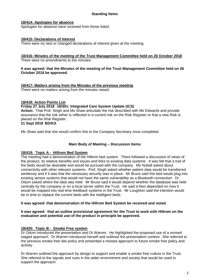#### **18/414: Apologies for absence**

Apologies for absence were received from those listed.

#### **18/415: Declarations of Interest**

There were no new or changed declarations of interest given at the meeting.

## **18/416: Minutes of the meeting of the Trust Management Committee held on 26 October 2018**

There were no amendments to the minutes.

#### **It was agreed: that the Minutes of the meeting of the Trust Management Committee held on 26 October 2018 be approved.**

#### **18/417: Matters arising from the Minutes of the previous meeting**

There were no matters arising from the minutes raised.

#### **18/418: Action Points List**

#### **Friday 27 July 2018 18/301: Integrated Care System Update (ICS)**

**Action:** That Prof. Singh and Ms Shaw articulate the risk described with Ms Edwards and provide assurance that the risk either is reflected in a current risk on the Risk Register or that a new Risk is placed on the Risk Register.

# **21 Sept 2018 BD/KS**

Ms Shaw said that she would confirm this to the Company Secretary once completed.

#### **Main Body of Meeting – Discussion Items**

#### **18/419: Topic A - Hillrom Bed System**

The meeting had a demonstration of the Hillrom bed system. There followed a discussion of views of the product, its relative benefits and issues and links to existing data systems. It was felt that a trial of the beds would be desirable and would be pursued with the company. Ms Nuttall asked about connectivity with other relevant systems. Prof. Singh asked whether patient data would be transferred wirelessly and if it was that the necessary security was in place. Mr Bruce said this bed would plug into existing sensor systems that would not have the same vulnerability as a Bluetooth connection. Dr Odum asked where the data was held. Mr Bruce said it would depend whether the database was held centrally by the company or on a local server within the Trust. He said it then depended on how it would be mapped into real time feedback systems in the Trust. Mr Loughton said the intention would be in time to replace the current beds with the intelligent beds.

#### **It was agreed: that demonstration of the Hillrom Bed System be received and noted.**

#### **It was agreed: that an outline provisional agreement for the Trust to work with Hillrom on the evaluation and potential use of the product in principle be approved.**

# **18/420: Topic B - Smoke Free system**

Dr Odum introduced the presentation and Dr Warren. He highlighted the proposed use of a revised staged approach. Dr Warren introduced herself and outlined the presentation content. She referred to the previous smoke free site policy and presented a revised approach to future smoke free policy and activity.

Dr Warren outlined the approach by design to support and enable a smoke free culture in the Trust. She referred to the signals and cues in the wider environment and society that would be used to support the approach.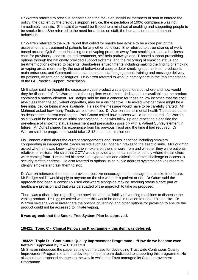Dr Warren referred to previous concerns and the focus on individual members of staff to enforce the policy, the gap left by the previous support service, the expectation of 100% compliance was not immediately realistic. She said that would be flipped to a mind-set of enabling and supporting people to be smoke-free. She referred to the need for a focus on staff, the human element and human behaviour.

Dr Warren referred to the RCP report that called for smoke free advice to be a core part of the assessment and treatment of patients for any other condition. She referred to three strands of work based around; Quit Support including use of vaping products away from smoking places, a business case for previously used structured treatments, self-help pathways and IT-based support prescribing options through the nationally provided support systems, and the recording of smoking status and treatment options offered to patients; Smoke-free environments including making the finding of smoking or vaping areas more easily, the use of behavioural cues to deter smoking such as fresh produce at main entrances; and Communication plan based on staff engagement, training and message delivery for patients, visitors and colleagues. Dr Warren referred to work in primary care in the implementation of the GP Practice Support Prescription.

Mr Badger said he thought the disposable vape product was a good idea but where and how would they be disposed of. Dr Warren said the suppliers would make dedicated bins available as the product contained a battery element. Mr Badger said he had a concern for those on low incomes that the cost, albeit less than the equivalent cigarettes, may be a disincentive. He asked whether there might be a free initial device being made available. He said the message would have to be carefully crafted. Mr Mahmud asked how many Trusts were smoke free. Dr Warren said all mental health Trusts had done so despite the inherent challenges. Prof Cotton asked how success would be measured. Dr Warren said it would be based on an initial observational audit with follow up and repetition alongside the prevalence of smoking status assessment and prescription possibly with a Patient Survey element in future. Mr Duffell shared his experience from his previous Trust and the time it had required. Dr Warren said the programme would take 12-18 months to implement.

Ms Tennant asked about the current arrangements and issues identified including smokers congregating in inappropriate places on site such as under air intakes to the aseptic suite. Mr Loughton asked whether it was known where the smokers on the site were from and whether they were patients, relatives or visitors. He said that CCTV would provide a potential route to identify where the smokers were coming from. He shared his previous experiences and difficulties of staff challenge or access to security staff to address. He also referred to options using public address systems and volunteers to identify smokers and ask them to stop.

Dr Warren reiterated the need to provide a positive encouragement message to a smoke free future. Mr Badger said it would apply to anyone on the site whether a patient or not. Dr Odum said the approach had been successfully used elsewhere alongside making smoking status a core part of healthcare provision and that was persuaded of the approach to take as proposed.

There was a discussion regarding the provision and availability of vending machines to dispense the vaping product. Dr Higgins asked whether this would be done in relation to under 18's on site. Dr Warren said she would investigate the options of vending and other options for provision to ensure the product could not be accessed to initiate vaping.

#### **It was agreed: that the Smoke Free System Plan be approved.**

# **18/421: Topic C - Clinical Fellowship Programme – this item was deferred.**

#### **18/422: Topic D - Continuous Quality Improvement Programme – "How do we become even better?" Approved by C & C 13/11/18**

Mr Sharon introduced the paper setting out the case for developing Trust wide Continuous Quality Improvement Programme and the development of a team dedicated to supporting this programme. He also outlined proposed changes to the way in which the Trust managed its Cost Improvement Programme.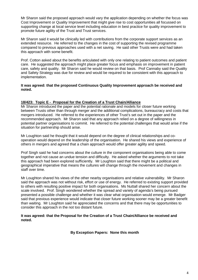Mr Sharon said the proposed approach would vary the application depending on whether the focus was Cost Improvement or Quality Improvement that might give rise to cost opportunities all focussed on supporting change at local service level including education in best practice for quality improvement to promote future agility of the Trust and Trust services.

Mr Sharon said it would be clinically led with contributions from the corporate support services as an extended resource. He referred to the changes in the cost of supporting the revised programme compared to previous approaches used with a net saving. He said other Trusts were and had taken this approach with some benefit.

Prof. Cotton asked about the benefits articulated with only one relating to patient outcomes and patient care. He suggested the approach might place greater focus and emphasis on improvement in patient care, safety and quality. Mr Sharon said he would review on that basis. Prof Cannaby said the Quality and Safety Strategy was due for review and would be required to be consistent with this approach to implementation.

**It was agreed: that the proposed Continuous Quality Improvement approach be received and noted.**

#### **18/423: Topic E - Proposal for the Creation of a Trust Chain/Alliance**

Mr Sharon introduced the paper and the potential rationale and models for closer future working between Trusts other than through merger and the additional complications, bureaucracy and costs that mergers introduced. He referred to the experiences of other Trust's set out in the paper and the recommended approach. Mr Sharon said that any approach relied on a degree of willingness in potential partner organisations to commit. He referred to the potential challenges that would arise if the situation for partnership should arise.

Mr Loughton said he thought that it would depend on the degree of clinical relationships and cooperation would depend on the leadership of the organisation. He shared his views and experience of others in mergers and agreed that a chain approach would offer greater agility and speed.

Prof Singh said he had concerns about the culture in the component organisations being able to come together and not cause an undue tension and difficulty. He asked whether the arguments to not take this approach had been explored sufficiently. Mr Loughton said that there might be a political and geographical imperative that means the cultures will change through the movement and changes in staff over time.

Mr Loughton shared his views of the other nearby organisations and relative vulnerability. Mr Sharon said the approach was not without risk, effort or use of energy. He referred to existing support provided to others with resulting positive impact for both organsations. Ms Nuttall shared her concern about the scale involved. Prof. Singh wondered whether the spread and variety of agenda's being pursued presented a possible challenge and whether it was clear what organisation would emerge. Mr Badger said that previous experience would indicate that closer future working sooner may be a greater benefit than waiting. Mr Loughton said he appreciated the concerns and that there may be opportunities to consider this approach in the not too distant future.

#### **It was agreed: that the Proposal for the Creation of a Trust Chain/Alliance be received and noted.**

**By Exception Papers: None this month**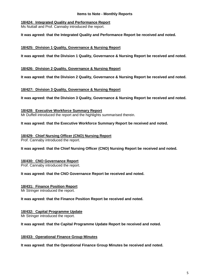#### **Items to Note - Monthly Reports**

#### **18/424: Integrated Quality and Performance Report**

Ms Nuttall and Prof. Cannaby introduced the report.

**It was agreed: that the Integrated Quality and Performance Report be received and noted.**

#### **18/425: Division 1 Quality, Governance & Nursing Report**

**It was agreed: that the Division 1 Quality, Governance & Nursing Report be received and noted.**

#### **18/426: Division 2 Quality, Governance & Nursing Report**

**It was agreed: that the Division 2 Quality, Governance & Nursing Report be received and noted.**

#### **18/427: Division 3 Quality, Governance & Nursing Report**

**It was agreed: that the Division 3 Quality, Governance & Nursing Report be received and noted.**

**18/428: Executive Workforce Summary Report** Mr Duffell introduced the report and the highlights summarised therein.

**It was agreed: that the Executive Workforce Summary Report be received and noted.**

# **18/429: Chief Nursing Officer (CNO) Nursing Report**

Prof. Cannaby introduced the report.

**It was agreed: that the Chief Nursing Officer (CNO) Nursing Report be received and noted.**

#### **18/430: CNO Governance Report**

Prof. Cannaby introduced the report.

#### **It was agreed: that the CNO Governance Report be received and noted.**

#### **18/431: Finance Position Report**

Mr Stringer introduced the report.

**It was agreed: that the Finance Position Report be received and noted.**

# **18/432: Capital Programme Update**

Mr Stringer introduced the report.

# **It was agreed: that the Capital Programme Update Report be received and noted.**

# **18/433: Operational Finance Group Minutes**

**It was agreed: that the Operational Finance Group Minutes be received and noted.**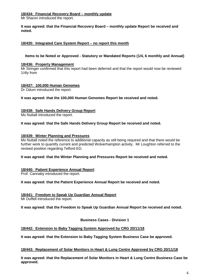#### **18/434: Financial Recovery Board – monthly update**

Mr Sharon introduced the report.

**It was agreed: that the Financial Recovery Board – monthly update Report be received and noted.**

#### **18/435: Integrated Care System Report – no report this month**

#### **Items to be Noted or Approved - Statutory or Mandated Reports (1/4, 6 monthly and Annual)**

#### **18/436: Property Management**

Mr Stringer confirmed that this report had been deferred and that the report would now be reviewed 1/4ly from

#### **18/437: 100,000 Human Genomes**

Dr Odum introduced the report.

#### **It was agreed: that the 100,000 Human Genomes Report be received and noted.**

#### **18/438: Safe Hands Delivery Group Report**

Ms Nuttall introduced the report.

#### **It was agreed: that the Safe Hands Delivery Group Report be received and noted.**

#### **18/439: Winter Planning and Pressures**

Ms Nuttall noted the reference to additional capacity as still being required and that there would be further work to quantify current and predicted Wolverhampton activity. Mr Loughton referred to the revised position regarding Telford ED.

#### **It was agreed: that the Winter Planning and Pressures Report be received and noted.**

#### **18/440: Patient Experience Annual Report**

Prof. Cannaby introduced the report.

#### **It was agreed: that the Patient Experience Annual Report be received and noted.**

# **18/441: Freedom to Speak Up Guardian Annual Report**

Mr Duffell introduced the report.

**It was agreed: that the Freedom to Speak Up Guardian Annual Report be received and noted.**

#### **Business Cases - Division 1**

#### **18/442: Extension to Baby Tagging System Approved by CRG 20/11/18**

**It was agreed: that the Extension to Baby Tagging System Business Case be approved.**

#### **18/443: Replacement of Solar Monitors in Heart & Lung Centre Approved by CRG 20/11/18**

**It was agreed: that the Replacement of Solar Monitors in Heart & Lung Centre Business Case be approved.**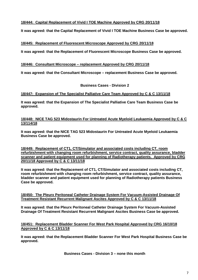# **18/444: Capital Replacement of Vivid I TOE Machine Approved by CRG 20/11/18**

**It was agreed: that the Capital Replacement of Vivid I TOE Machine Business Case be approved.**

#### **18/445: Replacement of Fluorescent Microscope Approved by CRG 20/11/18**

**It was agreed: that the Replacement of Fluorescent Microscope Business Case be approved.**

#### **18/446: Consultant Microscope – replacement Approved by CRG 20/11/18**

**It was agreed: that the Consultant Microscope – replacement Business Case be approved.**

#### **Business Cases - Division 2**

**18/447: Expansion of The Specialist Palliative Care Team Approved by C & C 13/11/18**

**It was agreed: that the Expansion of The Specialist Palliative Care Team Business Case be approved.**

#### **18/448: NICE TAG 523 Midostaurin For Untreated Acute Myeloid Leukaemia Approved by C & C 13/114/18**

**It was agreed: that the NICE TAG 523 Midostaurin For Untreated Acute Myeloid Leukaemia Business Case be approved.**

**18/449: Replacement of CT1, CT/Simulator and associated costs including CT, room refurbishment with changing room refurbishment, service contract, quality assurance, bladder scanner and patient equipment used for planning of Radiotherapy patients. Approved by CRG 20/11/18 Approved by C & C 13/11/18**

**It was agreed: that the Replacement of CT1, CT/Simulator and associated costs including CT, room refurbishment with changing room refurbishment, service contract, quality assurance, bladder scanner and patient equipment used for planning of Radiotherapy patients Business Case be approved.**

**18/450: The Pleurx Peritoneal Catheter Drainage System For Vacuum-Assisted Drainage Of Treatment Resistant Recurrent Malignant Ascites Approved by C & C 13/11/18**

**It was agreed: that the Pleurx Peritoneal Catheter Drainage System For Vacuum-Assisted Drainage Of Treatment Resistant Recurrent Malignant Ascites Business Case be approved.**

#### **18/451: Replacement Bladder Scanner For West Park Hospital Approved by CRG 16/10/18 Approved by C & C 13/11/18**

**It was agreed: that the Replacement Bladder Scanner For West Park Hospital Business Case be approved.**

**Business Cases - Division 3 – none this month**